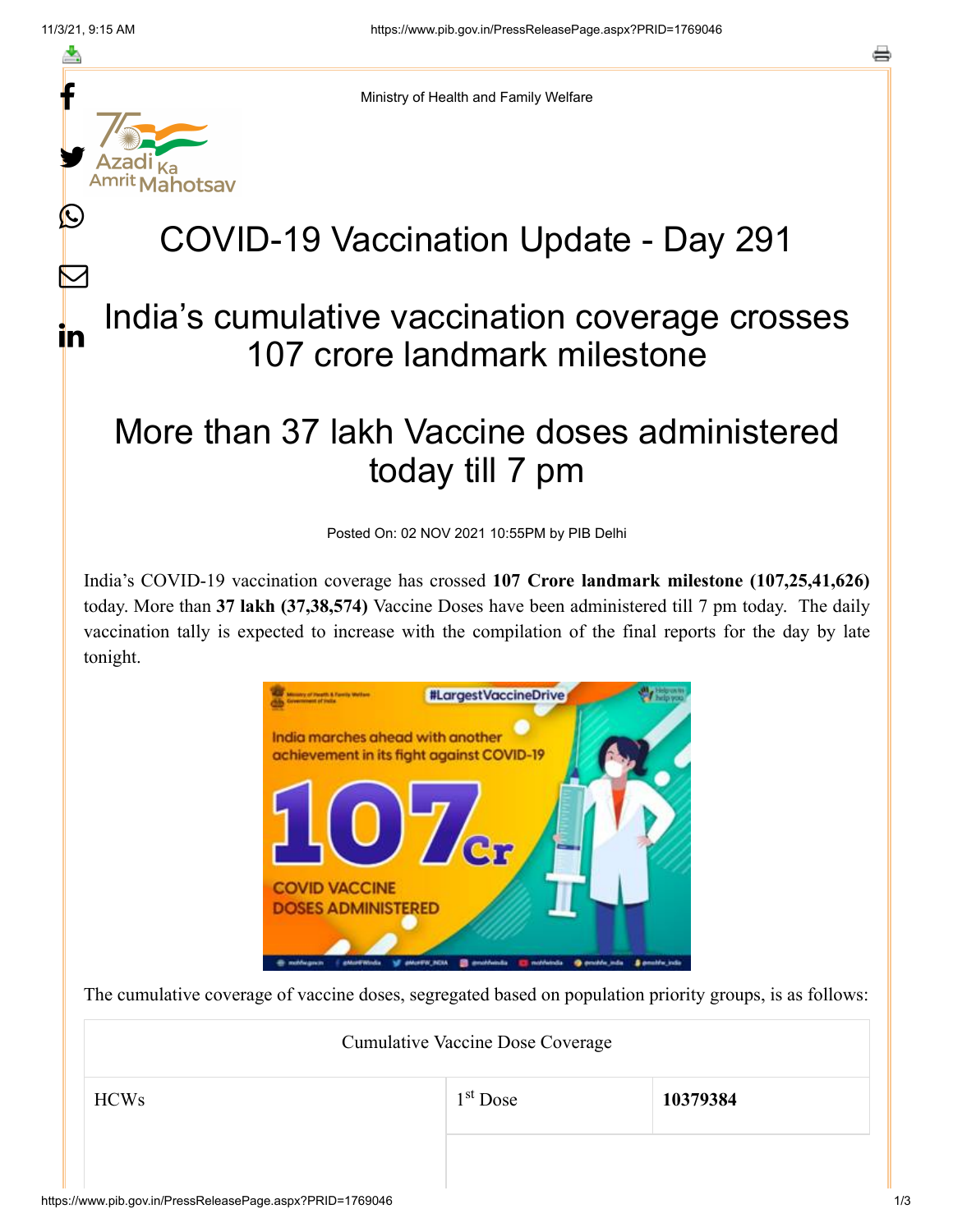f

≛

y.

Amrit Mahotsav

Ŀ

 $\bm{\nabla}$ 

in



## COVID-19 Vaccination Update - Day 291

## India's cumulative vaccination coverage crosses 107 crore landmark milestone

## More than 37 lakh Vaccine doses administered today till 7 pm

Posted On: 02 NOV 2021 10:55PM by PIB Delhi

India's COVID-19 vaccination coverage has crossed **107 Crore landmark milestone (107,25,41,626)** today. More than **37 lakh (37,38,574)** Vaccine Doses have been administered till 7 pm today. The daily vaccination tally is expected to increase with the compilation of the final reports for the day by late tonight.



The cumulative coverage of vaccine doses, segregated based on population priority groups, is as follows:

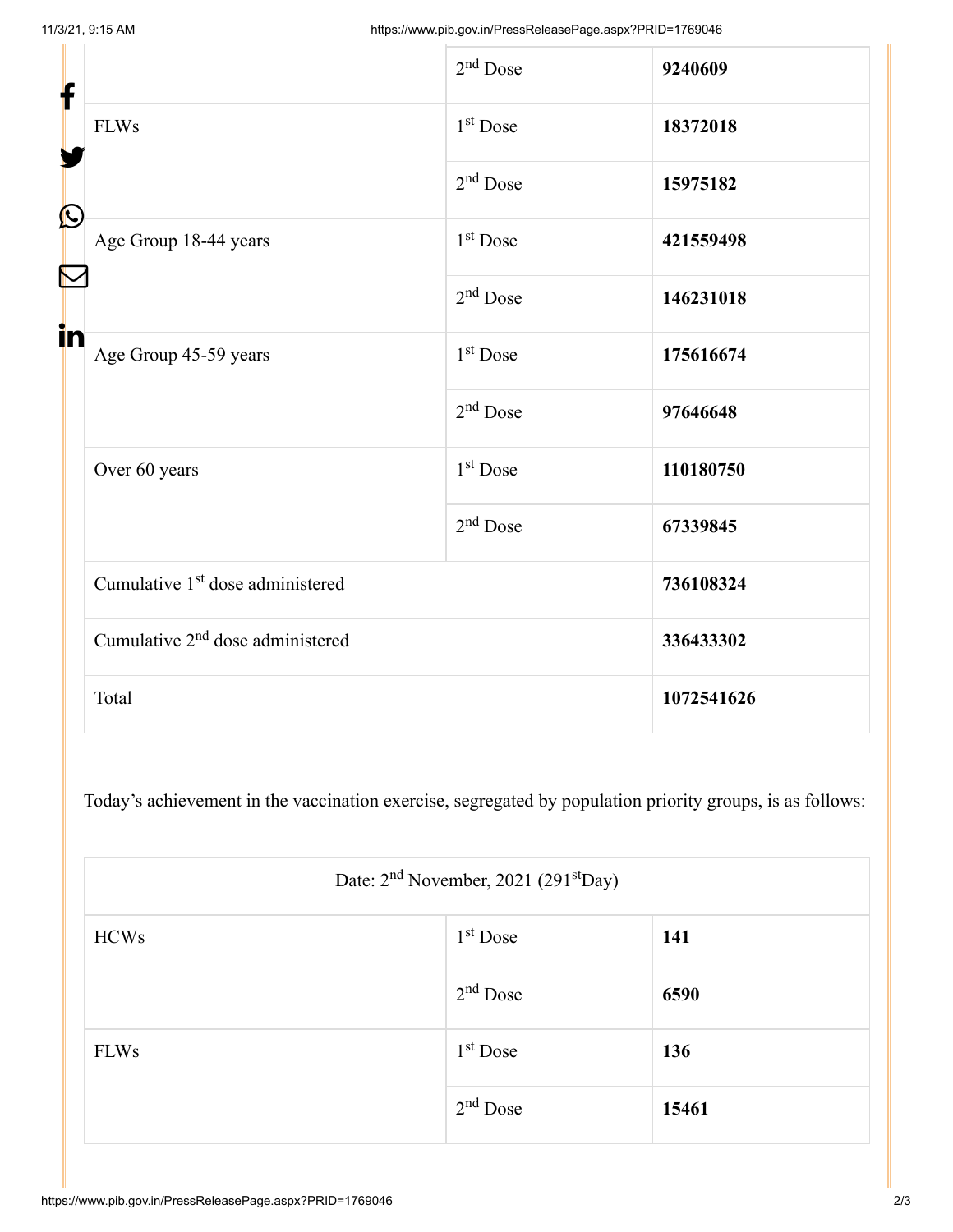| f<br>$\bf \Omega$ |                                              | $2nd$ Dose           | 9240609    |
|-------------------|----------------------------------------------|----------------------|------------|
|                   | <b>FLWs</b>                                  | $1st$ Dose           | 18372018   |
|                   |                                              | $2nd$ Dose           | 15975182   |
|                   | Age Group 18-44 years                        | $1st$ Dose           | 421559498  |
|                   |                                              | $2nd$ Dose           | 146231018  |
| in                | Age Group 45-59 years                        | $1st$ Dose           | 175616674  |
|                   |                                              | $2nd$ Dose           | 97646648   |
|                   | Over 60 years                                | 1 <sup>st</sup> Dose | 110180750  |
|                   |                                              | $2nd$ Dose           | 67339845   |
|                   | Cumulative 1 <sup>st</sup> dose administered |                      | 736108324  |
|                   | Cumulative 2 <sup>nd</sup> dose administered |                      | 336433302  |
|                   | Total                                        |                      | 1072541626 |

Today's achievement in the vaccination exercise, segregated by population priority groups, is as follows:

|             | Date: 2 <sup>nd</sup> November, 2021 (291 <sup>st</sup> Day) |       |  |  |
|-------------|--------------------------------------------------------------|-------|--|--|
| <b>HCWs</b> | $1st$ Dose                                                   | 141   |  |  |
|             | $2nd$ Dose                                                   | 6590  |  |  |
| <b>FLWs</b> | $1st$ Dose                                                   | 136   |  |  |
|             | $2nd$ Dose                                                   | 15461 |  |  |